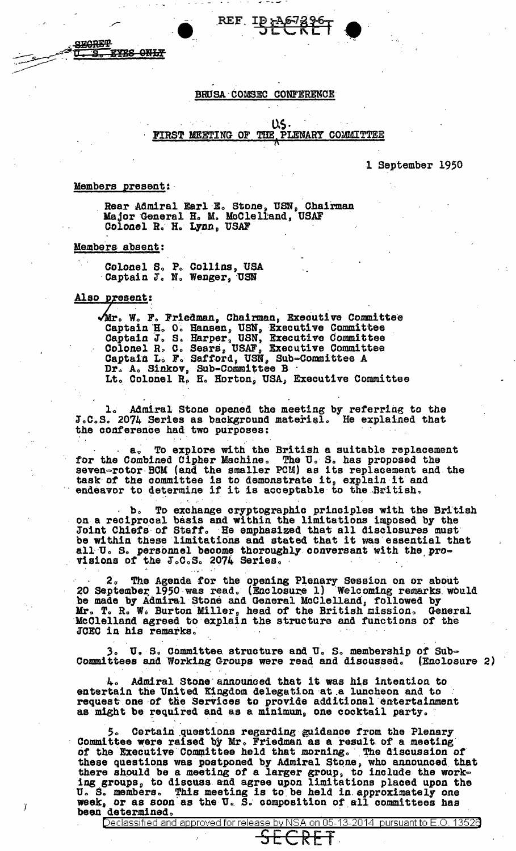## BRUSA COMSEC CONFERENCE

REF ID A673967

 $US$ FIRST MEETING OF THE PLENARY COMMITTEE

1 September 1950

### Members present:

**EYES ONLY** 

**SECRET** 

Rear Admiral Earl E. Stone, USN, Chairman<br>Major General H. M. McClelland, USAF<br>Colonel R. H. Lynn, USAF

Members absent:

Colonel S. P. Collins, USA<br>Captain J. N. Wenger, USN

Also present:

Ï

Mir. W. F. Friedman, Chairman, Executive Committee<br>Captain H. O. Hansen, USN, Executive Committee<br>Captain J. S. Harper, USN, Executive Committee<br>Colonel R. C. Sears, USAF, Executive Committee<br>Captain L. F. Safford, USN, Su Dr. A. Sinkov, Sub-Committee B<br>Lt. Colonel R. H. Horton, USA, Executive Committee

1. Admiral Stone opened the meeting by referring to the J.C.S. 2074 Series as background material. He explained that the conference had two purposes:

To explore with the British a suitable replacement  $a<sub>v</sub>$ for the Combined Cipher Machine. The U.S. has proposed the seven-rotor BCM (and the smaller PCM) as its replacement and the task of the committee is to demonstrate it, explain it and endeavor to determine if it is acceptable to the British.

b. To exchange cryptographic principles with the British<br>on a reciprocal basis and within the limitations imposed by the<br>Joint Chiefs of Staff. He emphasized that all disclosures must be within these limitations and stated that it was essential that all U. S. personnel become thoroughly conversant with the pro-visions of the J.C.S. 2074 Series.

2. The Agenda for the opening Plenary Session on or about<br>20 September 1950 was read. (Enclosure 1) Welcoming remarks would<br>be made by Admiral Stone and General McClelland, followed by<br>Mr. T. R. W. Burton Miller, head of t JCEC in his remarks.

3. U. S. Committee structure and U. S. membership of Sub-Committees and Working Groups were read and discussed. (Enclosure 2)

4. Admiral Stone announced that it was his intention to entertain the United Kingdom delegation at a luncheon and to request one of the Services to provide additional entertainment as might be required and as a minimum, one cocktail party.

Certain questions regarding guidance from the Plenary Committee were raised by Mr. Friedman as a result of a meeting of the Executive Committee held that morning. The discussion of or these questions was postponed by Admiral Stone, who announced that<br>there should be a meeting of a larger group, to include the work-<br>ing groups, to discuss and agree upon limitations placed upon the<br>U.S. members. This m been determined.

Declassified and approved for release by NSA on 05-13-2014  $\,$  pursuant to E.O. 13526  $\,$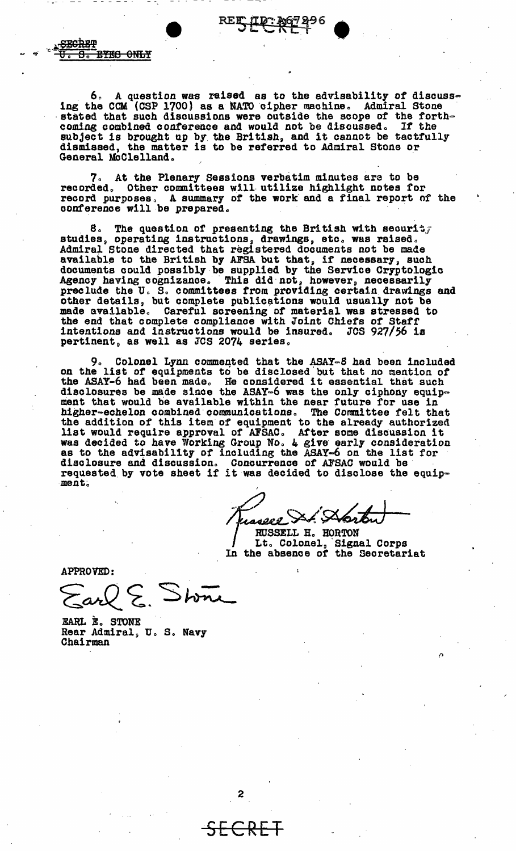REE

**FEGRET** क़ **EYES ONLY** 

6. A question was raised as to the advisability of discuss-<br>he CCM (CSP 1700) as a NATO cipher machine. Admiral Stone ing the CCM  $(CSP 1700)$  as a NATO cipher machine. stated that such discussions were outside the scope of the forth-<br>coming combined conference and would not be discussed. If the coming combined conference and would not be discussed. subject is brought up by the British, and it cannot be tactfully dismissed, the matter is to be referred to Admiral Stone or General McClelland.

At the Plenary Sessions verbatim minutes are to be recorded. Other committees will utilize highlight notes for record purposes. A summary of the work and a final report of the conference will be prepared.

. 8. The question of presenting the British with securit, studies, operating instructions, drawings, etc. was raised. Admiral Stone directed that registered documents not be made available to the British by AFSA but that, if necessary, such documents could possibly be supplied by the Service Cryptologic Agency having cognizance. This did not, however, necessarily preclude the U.S. committees from providing certain drawings and other details, but complete publications would usually not be made available. Careful screening of material was stressed to made available. Careful screening of material was stressed to the end that complete compliance with Joint Chiefs of Staff intentions and instructions would be insured. JCS  $927/56$  is pertinent, as well as JCS 2074 series.

9. Colonel Lynn commented that the ASAY-8 had been included on the list of equipments to be disclosed but that no mention of on the list of equipments to be disclosed but that no mention of<br>the ASAY-6 had been made. He considered it essential that such disclosures be made since the ASAY-6 was the only ciphony equipment that would be available within the near future for use in higher-echelon combined communications. The Committee felt that the addition of this item of equipment to the already authorized the addition of this item of equipment to the already authorized<br>list would require approval of AFSAC. After some discussion it was decided to have Working Group No. 4 give early consideration was decided *to have working droup as*: 4 give early consideration<br>as to the advisability of including the ASAY=6 on the list for<br>disclosure and discussion. Concurrence of AFSAC would be<br>requested by vote sheet if it was d ment. ..

 $\begin{Bmatrix} \overline{a} \\ b \\ d \end{Bmatrix}$ y 20't t */:J* ~.A. )<br>wee St. Startu

Lt. Colonel, Signal Corps In the absence of the Secretariat

APPROVED:

 $\{avk\}$ . Stone

EARL E. STONE Rear Admiral, U.S. Navy<br>Chairman

SECRET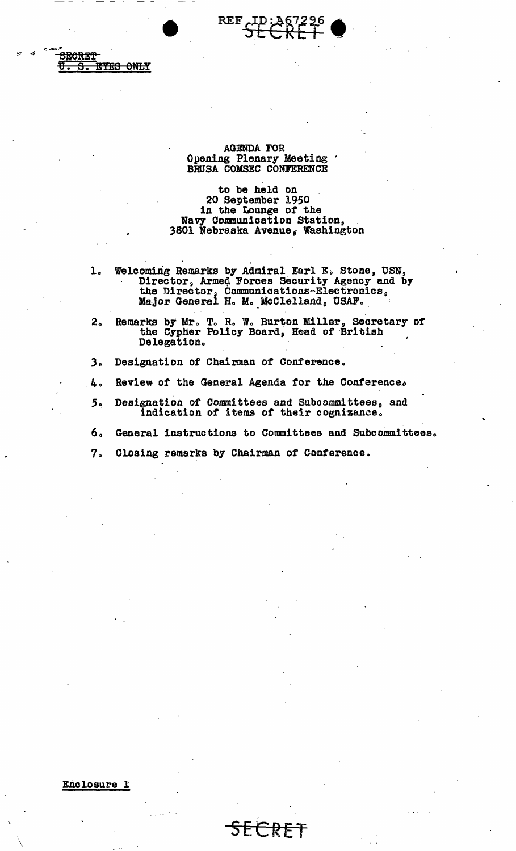

# **AGENDA FOR** Opening Plenary Meeting<br>BRUSA COMSEC CONFERENCE

to be held on<br>20 September 1950 in the Lounge of the Navy Communication Station, 3801 Nebraska Avenue, Washington

- Welcoming Remarks by Admiral Earl E. Stone, USN,<br>Director, Armed Forces Security Agency and by<br>the Director, Communications-Electronics,<br>Major General H. M. McClelland, USAF.  $\mathbf{1}$ .
- Remarks by Mr. T. R. W. Burton Miller, Secretary of the Cypher Policy Board, Head of British  $2<sub>o</sub>$ Delegation.
- $3<sub>o</sub>$ Designation of Chairman of Conference.
- Review of the General Agenda for the Conference. 4.
- Designation of Committees and Subcommittees, and 5. indication of items of their cognizance.
- б. General instructions to Committees and Subcommittees.
- $7<sub>o</sub>$ Closing remarks by Chairman of Conference.

Enclosure 1

违法法

**EYES ONLY** 

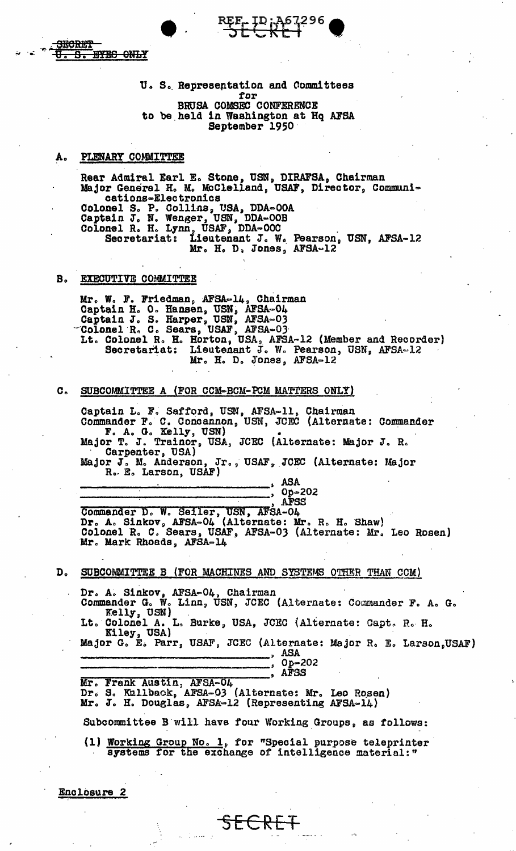U. S. Representation and Committees for BRUSA COMSEC CONFERENCE to be held in Washington at Hq AFSA September 1950

REE ID: A67296

#### PLENARY COMMITTEE А.

**HYES ONLY** 

<del>SECRET</del>

8.

Rear Admiral Earl E. Stone, USN, DIRAFSA, Chairman Major General H. M. McClelland, USAF, Director, Communications-Electronics Colonel S. P. Collins, USA, DDA=00A<br>Captain J. N. Wenger, USN, DDA=00B<br>Colonel R. H. Lynn, USAF, DDA=00C<br>Secretariat: Lieutenant J. W. Pearson, USN, AFSA=12<br>Mr. H. D. Jones, AFSA-12

#### $B<sub>o</sub>$ EXECUTIVE COMMITTEE

Mr. W. F. Friedman, AFSA-14, Chairman<br>Captain H. O. Hansen, USN, AFSA-04<br>Captain J. S. Harper, USN, AFSA-03<br>Colonel R. C. Sears, USAF, AFSA-03<br>Lt. Colonel R. H. Horton, USA, AFSA-12 (Member and Recorder)<br>Seamstrict: Lieute Secretariat: Lieutenant J. W. Pearson, USN, AFSA-12 Mr. H. D. Jones, AFSA-12

#### SUBCOMMITTEE A (FOR CCM-BCM-PCM MATTERS ONLY)  $\mathbf{C}_{\infty}$

Captain L. F. Safford, USN, AFSA-11, Chairman<br>Commander F. C. Concannon, USN, JCEC (Alternate: Commander<br>F. A. G. Kelly, USN)<br>Major T. J. Trainor, USA, JCEC (Alternate: Major J. R. Carpenter, USA) Major J. M. Anderson, Jr., USAF, JCEC (Alternate: Major R. E. Larson, USAF) ASA Op-202  $\bullet$ AFSS Commander D. W. Seiler, USN, AFSA-04<br>Dr. A. Sinkov, AFSA-04 (Alternate: Mr. R. H. Shaw)<br>Colonel R. C. Sears, USAF, AFSA-03 (Alternate: Mr. Leo Rosen) Mr. Mark Rhoads, AFSA-14 SUBCOMMITTEE B (FOR MACHINES AND SYSTEMS OTHER THAN CCM) Dr. A. Sinkov, AFSA-04, Chairman<br>Commander G. W. Linn, USN, JCEC (Alternate: Commander F. A. G. Kelly, USN)<br>Colonel A. L. Burke, USA, JCEC (Alternate: Capt. R. H. Lt. Kiley, USA) Major G. E. Parr, USAF, JCEC (Alternate: Major R. E. Larson, USAF) ASA Op-202 **AFSS** Mr. Frank Austin, AFSA-04 Dr. S. Kullback, AFSA-03 (Alternate: Mr. Leo Rosen)<br>Mr. J. H. Douglas, AFSA-12 (Representing AFSA-14) Subcommittee B will have four Working Groups, as follows: (1) Working Group No. 1, for "Special purpose teleprinter systems for the exchange of intelligence material:"

SECRET

Enclosure 2

 $D<sub>o</sub>$